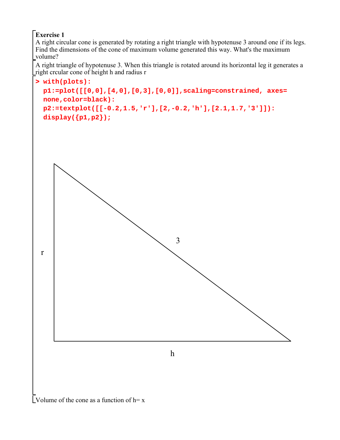## **Exercise 1**

A right circular cone is generated by rotating a right triangle with hypotenuse 3 around one if its legs. Find the dimensions of the cone of maximum volume generated this way. What's the maximum volume?

A right triangle of hypotenuse 3. When this triangle is rotated around its horizontal leg it generates a right crcular cone of height h and radius r



Volume of the cone as a function of  $h = x$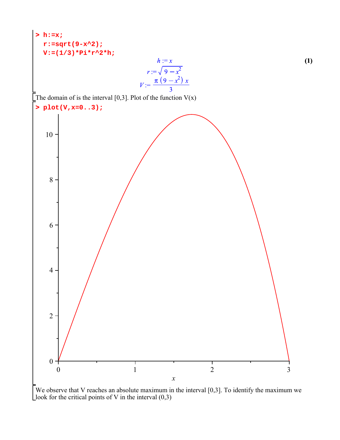

We observe that V reaches an absolute maximum in the interval  $[0,3]$ . To identify the maximum we Llook for the critical points of V in the interval  $(0,3)$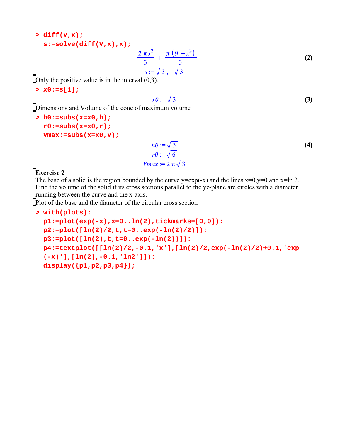```
> 
diff(V,x);
 s:=solve(diff(V,x),x);
```

$$
-\frac{2\pi x^2}{3} + \frac{\pi (9 - x^2)}{3}
$$
  
s :=  $\sqrt{3}$ ,  $-\sqrt{3}$  (2)

Only the positive value is in the interval (0,3).

**> x0:=s[1];**

$$
x\theta := \sqrt{3} \tag{3}
$$

Dimensions and Volume of the cone of maximum volume

```
> 
h0:=subs(x=x0,h);
 r0:=subs(x=x0,r);
 Vmax:=subs(x=x0,V);
```

$$
ho := \sqrt{3}
$$
  
\n
$$
r0 := \sqrt{6}
$$
  
\n
$$
Vmax := 2 \pi \sqrt{3}
$$
\n(4)

## **Exercise 2**

The base of a solid is the region bounded by the curve  $y=exp(-x)$  and the lines  $x=0, y=0$  and  $x=ln 2$ . Find the volume of the solid if its cross sections parallel to the yz-plane are circles with a diameter running between the curve and the x-axis.

Plot of the base and the diameter of the circular cross section

```
> 
with(plots):
 p1:=plot(exp(-x),x=0..ln(2),tickmarks=[0,0]):
 p2:=plot([ln(2)/2,t,t=0..exp(-ln(2)/2)]):
 p3:=plot([ln(2),t,t=0..exp(-ln(2))]):
 p4:=textplot([[ln(2)/2,-0.1,'x'],[ln(2)/2,exp(-ln(2)/2)+0.1,'exp
 (-x)'],[ln(2),-0.1,'ln2']]):
 display({p1,p2,p3,p4});
```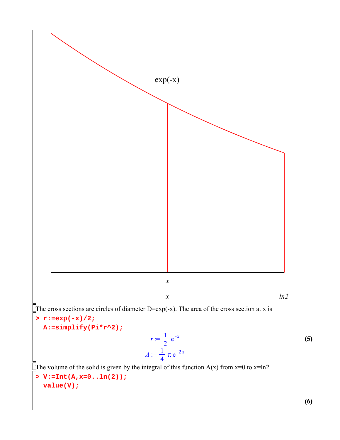

**(6)**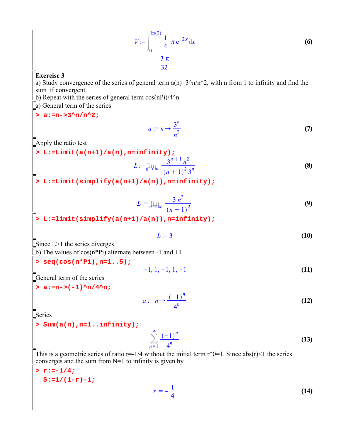$$
V := \int_0^{\ln(2)} \frac{1}{4} \pi e^{-2x} dx
$$
 (6)  

$$
\frac{3 \pi}{32}
$$

## **Exercise 3**

a) Study convergence of the series of general term  $a(n)=3^n/n/n^2$ , with n from 1 to infinity and find the sum if convergent.

b) Repeat with the series of general term  $cos(nPi)/4^n$ 

a) General term of the series

## **> a:=n->3^n/n^2;**

$$
a := n \to \frac{3^n}{n^2} \tag{7}
$$

Apply the ratio test

**> L:=Limit(a(n+1)/a(n),n=infinity);**

$$
L := \lim_{n \to \infty} \frac{3^{n+1} n^2}{(n+1)^2 3^n}
$$
 (8)

**> L:=Limit(simplify(a(n+1)/a(n)),n=infinity);**

$$
L := \lim_{n \to \infty} \frac{3 n^2}{(n+1)^2}
$$
 (9)

**> L:=limit(simplify(a(n+1)/a(n)),n=infinity);**

$$
L:=3\tag{10}
$$

Since L>1 the series diverges b) The values of  $cos(n*Pi)$  alternate between -1 and +1

- **> seq(cos(n\*Pi),n=1..5);**
- $-1, 1, -1, 1, -1$ **(11)**

General term of the series

> 
$$
a:=n->(-1) \cdot n/4 \cdot n;
$$

$$
a := n \to \frac{(-1)^n}{4^n} \tag{12}
$$

Series

**> Sum(a(n),n=1..infinity);**

$$
\sum_{n=1}^{\infty} \frac{(-1)^n}{4^n}
$$
 (13)

This is a geometric series of ratio  $r=1/4$  without the initial term  $r^0=1$ . Since abs(r)<1 the series Leonverges and the sum from  $N=1$  to infinity is given by

**> r:=-1/4; S:=1/(1-r)-1;**

$$
r:=-\frac{1}{4} \tag{14}
$$